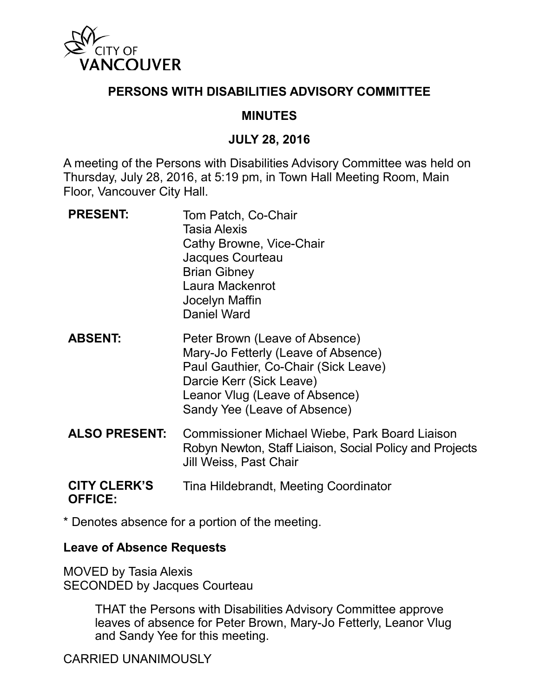

## **PERSONS WITH DISABILITIES ADVISORY COMMITTEE**

## **MINUTES**

#### **JULY 28, 2016**

A meeting of the Persons with Disabilities Advisory Committee was held on Thursday, July 28, 2016, at 5:19 pm, in Town Hall Meeting Room, Main Floor, Vancouver City Hall.

- **PRESENT:** Tom Patch, Co-Chair Tasia Alexis Cathy Browne, Vice-Chair Jacques Courteau Brian Gibney Laura Mackenrot Jocelyn Maffin Daniel Ward
- **ABSENT:** Peter Brown (Leave of Absence) Mary-Jo Fetterly (Leave of Absence) Paul Gauthier, Co-Chair (Sick Leave) Darcie Kerr (Sick Leave) Leanor Vlug (Leave of Absence) Sandy Yee (Leave of Absence)
- **ALSO PRESENT:** Commissioner Michael Wiebe, Park Board Liaison Robyn Newton, Staff Liaison, Social Policy and Projects Jill Weiss, Past Chair

#### **CITY CLERK'S OFFICE:** Tina Hildebrandt, Meeting Coordinator

\* Denotes absence for a portion of the meeting.

## **Leave of Absence Requests**

MOVED by Tasia Alexis SECONDED by Jacques Courteau

> THAT the Persons with Disabilities Advisory Committee approve leaves of absence for Peter Brown, Mary-Jo Fetterly, Leanor Vlug and Sandy Yee for this meeting.

CARRIED UNANIMOUSLY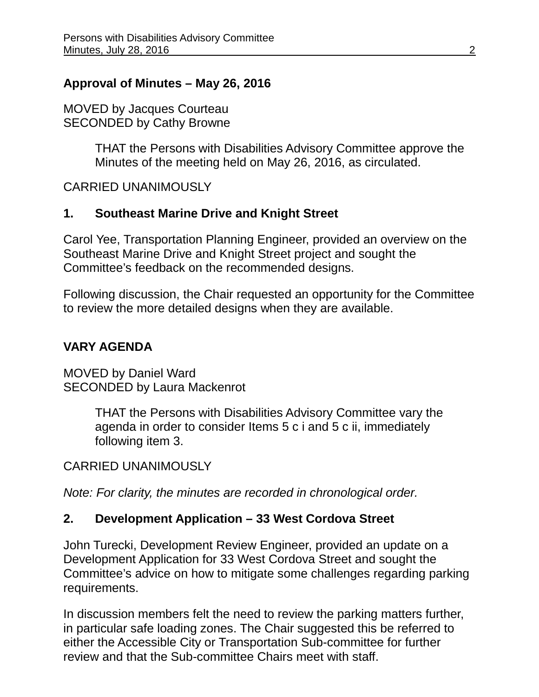## **Approval of Minutes – May 26, 2016**

MOVED by Jacques Courteau SECONDED by Cathy Browne

> THAT the Persons with Disabilities Advisory Committee approve the Minutes of the meeting held on May 26, 2016, as circulated.

CARRIED UNANIMOUSLY

## **1. Southeast Marine Drive and Knight Street**

Carol Yee, Transportation Planning Engineer, provided an overview on the Southeast Marine Drive and Knight Street project and sought the Committee's feedback on the recommended designs.

Following discussion, the Chair requested an opportunity for the Committee to review the more detailed designs when they are available.

# **VARY AGENDA**

MOVED by Daniel Ward SECONDED by Laura Mackenrot

> THAT the Persons with Disabilities Advisory Committee vary the agenda in order to consider Items 5 c i and 5 c ii, immediately following item 3.

## CARRIED UNANIMOUSLY

*Note: For clarity, the minutes are recorded in chronological order.*

## **2. Development Application – 33 West Cordova Street**

John Turecki, Development Review Engineer, provided an update on a Development Application for 33 West Cordova Street and sought the Committee's advice on how to mitigate some challenges regarding parking requirements.

In discussion members felt the need to review the parking matters further, in particular safe loading zones. The Chair suggested this be referred to either the Accessible City or Transportation Sub-committee for further review and that the Sub-committee Chairs meet with staff.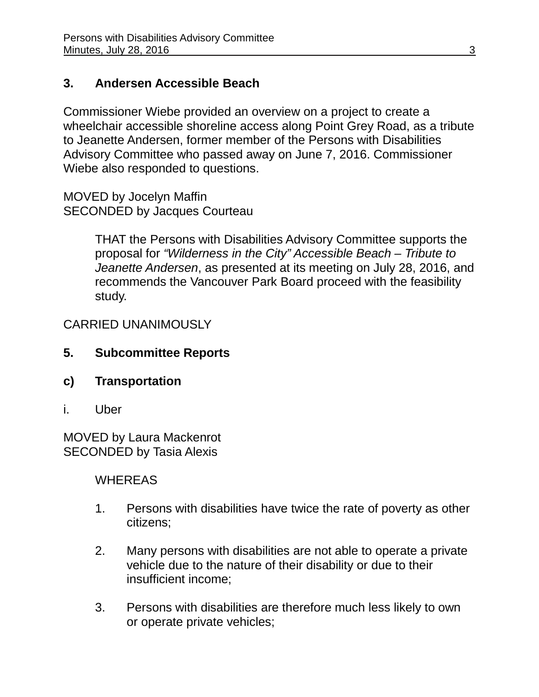# **3. Andersen Accessible Beach**

Commissioner Wiebe provided an overview on a project to create a wheelchair accessible shoreline access along Point Grey Road, as a tribute to Jeanette Andersen, former member of the Persons with Disabilities Advisory Committee who passed away on June 7, 2016. Commissioner Wiebe also responded to questions.

MOVED by Jocelyn Maffin SECONDED by Jacques Courteau

> THAT the Persons with Disabilities Advisory Committee supports the proposal for *"Wilderness in the City" Accessible Beach – Tribute to Jeanette Andersen*, as presented at its meeting on July 28, 2016, and recommends the Vancouver Park Board proceed with the feasibility study.

CARRIED UNANIMOUSLY

- **5. Subcommittee Reports**
- **c) Transportation**
- i. Uber

MOVED by Laura Mackenrot SECONDED by Tasia Alexis

## WHEREAS

- 1. Persons with disabilities have twice the rate of poverty as other citizens;
- 2. Many persons with disabilities are not able to operate a private vehicle due to the nature of their disability or due to their insufficient income;
- 3. Persons with disabilities are therefore much less likely to own or operate private vehicles;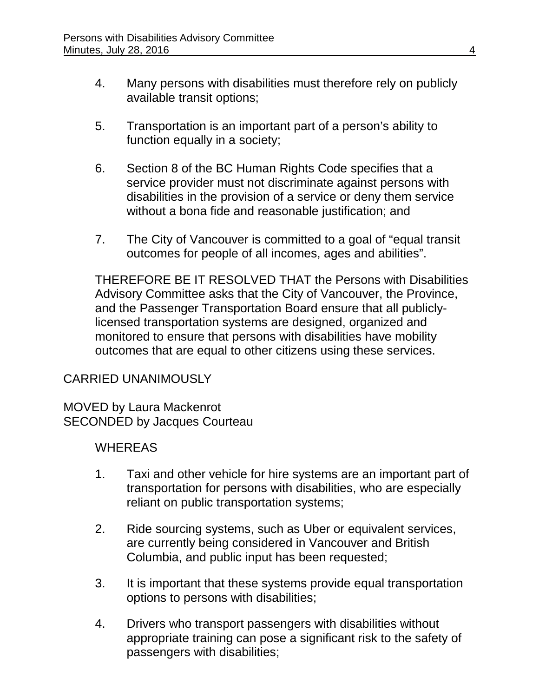- 4. Many persons with disabilities must therefore rely on publicly available transit options;
- 5. Transportation is an important part of a person's ability to function equally in a society;
- 6. Section 8 of the BC Human Rights Code specifies that a service provider must not discriminate against persons with disabilities in the provision of a service or deny them service without a bona fide and reasonable justification; and
- 7. The City of Vancouver is committed to a goal of "equal transit outcomes for people of all incomes, ages and abilities".

THEREFORE BE IT RESOLVED THAT the Persons with Disabilities Advisory Committee asks that the City of Vancouver, the Province, and the Passenger Transportation Board ensure that all publiclylicensed transportation systems are designed, organized and monitored to ensure that persons with disabilities have mobility outcomes that are equal to other citizens using these services.

## CARRIED UNANIMOUSLY

MOVED by Laura Mackenrot SECONDED by Jacques Courteau

## WHEREAS

- 1. Taxi and other vehicle for hire systems are an important part of transportation for persons with disabilities, who are especially reliant on public transportation systems;
- 2. Ride sourcing systems, such as Uber or equivalent services, are currently being considered in Vancouver and British Columbia, and public input has been requested;
- 3. It is important that these systems provide equal transportation options to persons with disabilities;
- 4. Drivers who transport passengers with disabilities without appropriate training can pose a significant risk to the safety of passengers with disabilities;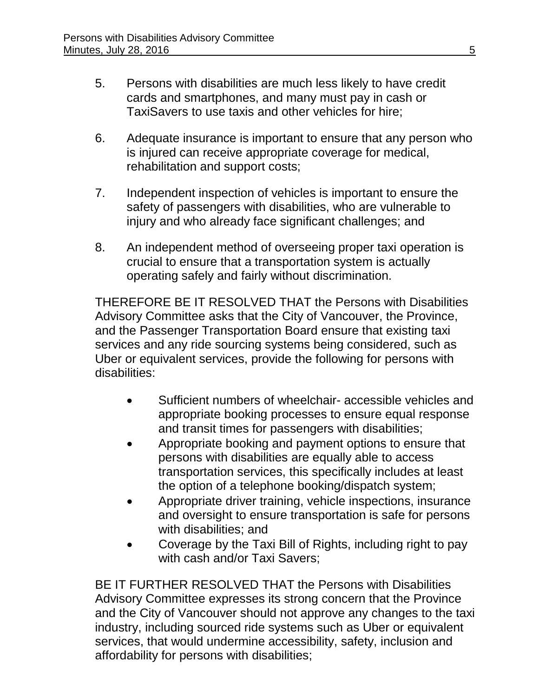- 5. Persons with disabilities are much less likely to have credit cards and smartphones, and many must pay in cash or TaxiSavers to use taxis and other vehicles for hire;
- 6. Adequate insurance is important to ensure that any person who is injured can receive appropriate coverage for medical, rehabilitation and support costs;
- 7. Independent inspection of vehicles is important to ensure the safety of passengers with disabilities, who are vulnerable to injury and who already face significant challenges; and
- 8. An independent method of overseeing proper taxi operation is crucial to ensure that a transportation system is actually operating safely and fairly without discrimination.

THEREFORE BE IT RESOLVED THAT the Persons with Disabilities Advisory Committee asks that the City of Vancouver, the Province, and the Passenger Transportation Board ensure that existing taxi services and any ride sourcing systems being considered, such as Uber or equivalent services, provide the following for persons with disabilities:

- Sufficient numbers of wheelchair- accessible vehicles and appropriate booking processes to ensure equal response and transit times for passengers with disabilities;
- Appropriate booking and payment options to ensure that persons with disabilities are equally able to access transportation services, this specifically includes at least the option of a telephone booking/dispatch system;
- Appropriate driver training, vehicle inspections, insurance and oversight to ensure transportation is safe for persons with disabilities; and
- Coverage by the Taxi Bill of Rights, including right to pay with cash and/or Taxi Savers;

BE IT FURTHER RESOLVED THAT the Persons with Disabilities Advisory Committee expresses its strong concern that the Province and the City of Vancouver should not approve any changes to the taxi industry, including sourced ride systems such as Uber or equivalent services, that would undermine accessibility, safety, inclusion and affordability for persons with disabilities;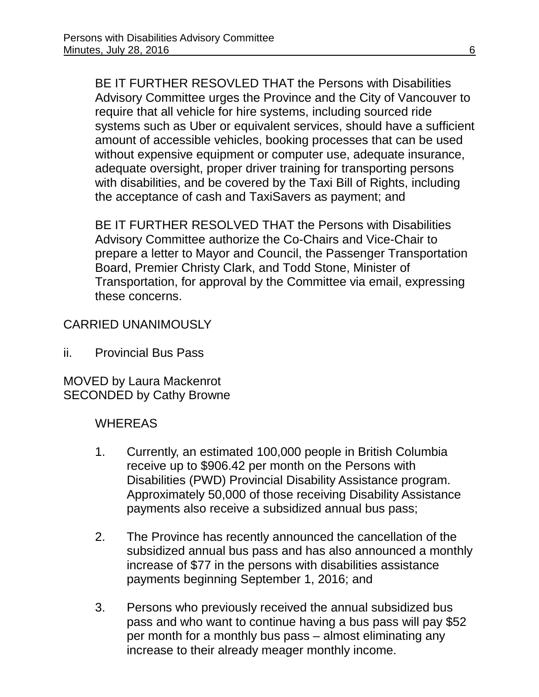BE IT FURTHER RESOVLED THAT the Persons with Disabilities Advisory Committee urges the Province and the City of Vancouver to require that all vehicle for hire systems, including sourced ride systems such as Uber or equivalent services, should have a sufficient amount of accessible vehicles, booking processes that can be used without expensive equipment or computer use, adequate insurance, adequate oversight, proper driver training for transporting persons with disabilities, and be covered by the Taxi Bill of Rights, including the acceptance of cash and TaxiSavers as payment; and

BE IT FURTHER RESOLVED THAT the Persons with Disabilities Advisory Committee authorize the Co-Chairs and Vice-Chair to prepare a letter to Mayor and Council, the Passenger Transportation Board, Premier Christy Clark, and Todd Stone, Minister of Transportation, for approval by the Committee via email, expressing these concerns.

## CARRIED UNANIMOUSLY

ii. Provincial Bus Pass

MOVED by Laura Mackenrot SECONDED by Cathy Browne

## **WHEREAS**

- 1. Currently, an estimated 100,000 people in British Columbia receive up to \$906.42 per month on the Persons with Disabilities (PWD) Provincial Disability Assistance program. Approximately 50,000 of those receiving Disability Assistance payments also receive a subsidized annual bus pass;
- 2. The Province has recently announced the cancellation of the subsidized annual bus pass and has also announced a monthly increase of \$77 in the persons with disabilities assistance payments beginning September 1, 2016; and
- 3. Persons who previously received the annual subsidized bus pass and who want to continue having a bus pass will pay \$52 per month for a monthly bus pass – almost eliminating any increase to their already meager monthly income.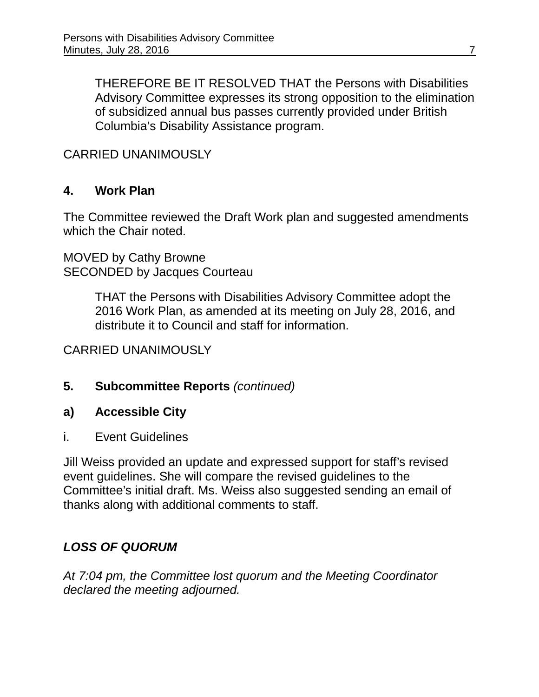THEREFORE BE IT RESOLVED THAT the Persons with Disabilities Advisory Committee expresses its strong opposition to the elimination of subsidized annual bus passes currently provided under British Columbia's Disability Assistance program.

## CARRIED UNANIMOUSLY

## **4. Work Plan**

The Committee reviewed the Draft Work plan and suggested amendments which the Chair noted.

MOVED by Cathy Browne SECONDED by Jacques Courteau

> THAT the Persons with Disabilities Advisory Committee adopt the 2016 Work Plan, as amended at its meeting on July 28, 2016, and distribute it to Council and staff for information.

#### CARRIED UNANIMOUSLY

#### **5. Subcommittee Reports** *(continued)*

#### **a) Accessible City**

i. Event Guidelines

Jill Weiss provided an update and expressed support for staff's revised event guidelines. She will compare the revised guidelines to the Committee's initial draft. Ms. Weiss also suggested sending an email of thanks along with additional comments to staff.

## *LOSS OF QUORUM*

*At 7:04 pm, the Committee lost quorum and the Meeting Coordinator declared the meeting adjourned.*